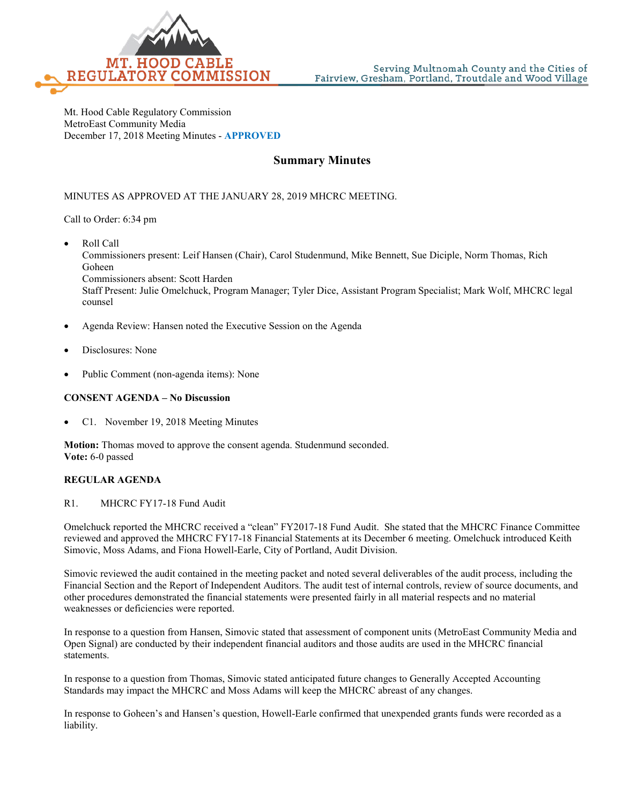

Mt. Hood Cable Regulatory Commission MetroEast Community Media December 17, 2018 Meeting Minutes - **APPROVED**

# **Summary Minutes**

### MINUTES AS APPROVED AT THE JANUARY 28, 2019 MHCRC MEETING.

Call to Order: 6:34 pm

• Roll Call

counsel

Commissioners present: Leif Hansen (Chair), Carol Studenmund, Mike Bennett, Sue Diciple, Norm Thomas, Rich Goheen Commissioners absent: Scott Harden Staff Present: Julie Omelchuck, Program Manager; Tyler Dice, Assistant Program Specialist; Mark Wolf, MHCRC legal

- Agenda Review: Hansen noted the Executive Session on the Agenda
- Disclosures: None
- Public Comment (non-agenda items): None

#### **CONSENT AGENDA – No Discussion**

• C1. November 19, 2018 Meeting Minutes

**Motion:** Thomas moved to approve the consent agenda. Studenmund seconded. **Vote:** 6-0 passed

### **REGULAR AGENDA**

#### R1. MHCRC FY17-18 Fund Audit

Omelchuck reported the MHCRC received a "clean" FY2017-18 Fund Audit. She stated that the MHCRC Finance Committee reviewed and approved the MHCRC FY17-18 Financial Statements at its December 6 meeting. Omelchuck introduced Keith Simovic, Moss Adams, and Fiona Howell-Earle, City of Portland, Audit Division.

Simovic reviewed the audit contained in the meeting packet and noted several deliverables of the audit process, including the Financial Section and the Report of Independent Auditors. The audit test of internal controls, review of source documents, and other procedures demonstrated the financial statements were presented fairly in all material respects and no material weaknesses or deficiencies were reported.

In response to a question from Hansen, Simovic stated that assessment of component units (MetroEast Community Media and Open Signal) are conducted by their independent financial auditors and those audits are used in the MHCRC financial statements.

In response to a question from Thomas, Simovic stated anticipated future changes to Generally Accepted Accounting Standards may impact the MHCRC and Moss Adams will keep the MHCRC abreast of any changes.

In response to Goheen's and Hansen's question, Howell-Earle confirmed that unexpended grants funds were recorded as a liability.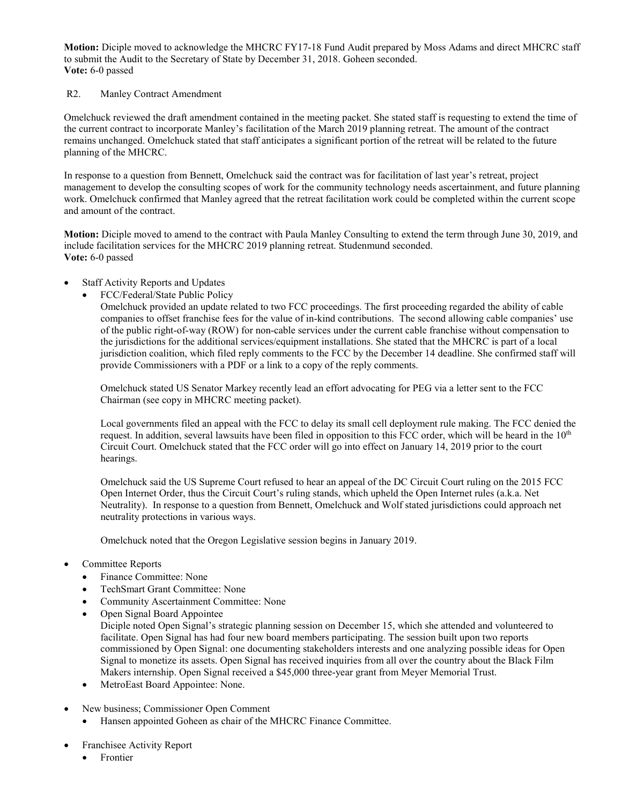**Motion:** Diciple moved to acknowledge the MHCRC FY17-18 Fund Audit prepared by Moss Adams and direct MHCRC staff to submit the Audit to the Secretary of State by December 31, 2018. Goheen seconded. **Vote:** 6-0 passed

### R2. Manley Contract Amendment

Omelchuck reviewed the draft amendment contained in the meeting packet. She stated staff is requesting to extend the time of the current contract to incorporate Manley's facilitation of the March 2019 planning retreat. The amount of the contract remains unchanged. Omelchuck stated that staff anticipates a significant portion of the retreat will be related to the future planning of the MHCRC.

In response to a question from Bennett, Omelchuck said the contract was for facilitation of last year's retreat, project management to develop the consulting scopes of work for the community technology needs ascertainment, and future planning work. Omelchuck confirmed that Manley agreed that the retreat facilitation work could be completed within the current scope and amount of the contract.

**Motion:** Diciple moved to amend to the contract with Paula Manley Consulting to extend the term through June 30, 2019, and include facilitation services for the MHCRC 2019 planning retreat. Studenmund seconded. **Vote:** 6-0 passed

- Staff Activity Reports and Updates
	- FCC/Federal/State Public Policy

Omelchuck provided an update related to two FCC proceedings. The first proceeding regarded the ability of cable companies to offset franchise fees for the value of in-kind contributions. The second allowing cable companies' use of the public right-of-way (ROW) for non-cable services under the current cable franchise without compensation to the jurisdictions for the additional services/equipment installations. She stated that the MHCRC is part of a local jurisdiction coalition, which filed reply comments to the FCC by the December 14 deadline. She confirmed staff will provide Commissioners with a PDF or a link to a copy of the reply comments.

Omelchuck stated US Senator Markey recently lead an effort advocating for PEG via a letter sent to the FCC Chairman (see copy in MHCRC meeting packet).

Local governments filed an appeal with the FCC to delay its small cell deployment rule making. The FCC denied the request. In addition, several lawsuits have been filed in opposition to this FCC order, which will be heard in the 10<sup>th</sup> Circuit Court. Omelchuck stated that the FCC order will go into effect on January 14, 2019 prior to the court hearings.

Omelchuck said the US Supreme Court refused to hear an appeal of the DC Circuit Court ruling on the 2015 FCC Open Internet Order, thus the Circuit Court's ruling stands, which upheld the Open Internet rules (a.k.a. Net Neutrality). In response to a question from Bennett, Omelchuck and Wolf stated jurisdictions could approach net neutrality protections in various ways.

Omelchuck noted that the Oregon Legislative session begins in January 2019.

- Committee Reports
	- Finance Committee: None
	- TechSmart Grant Committee: None
	- Community Ascertainment Committee: None
	- Open Signal Board Appointee

Diciple noted Open Signal's strategic planning session on December 15, which she attended and volunteered to facilitate. Open Signal has had four new board members participating. The session built upon two reports commissioned by Open Signal: one documenting stakeholders interests and one analyzing possible ideas for Open Signal to monetize its assets. Open Signal has received inquiries from all over the country about the Black Film Makers internship. Open Signal received a \$45,000 three-year grant from Meyer Memorial Trust.

- MetroEast Board Appointee: None.
- New business; Commissioner Open Comment
	- Hansen appointed Goheen as chair of the MHCRC Finance Committee.
- Franchisee Activity Report
	- Frontier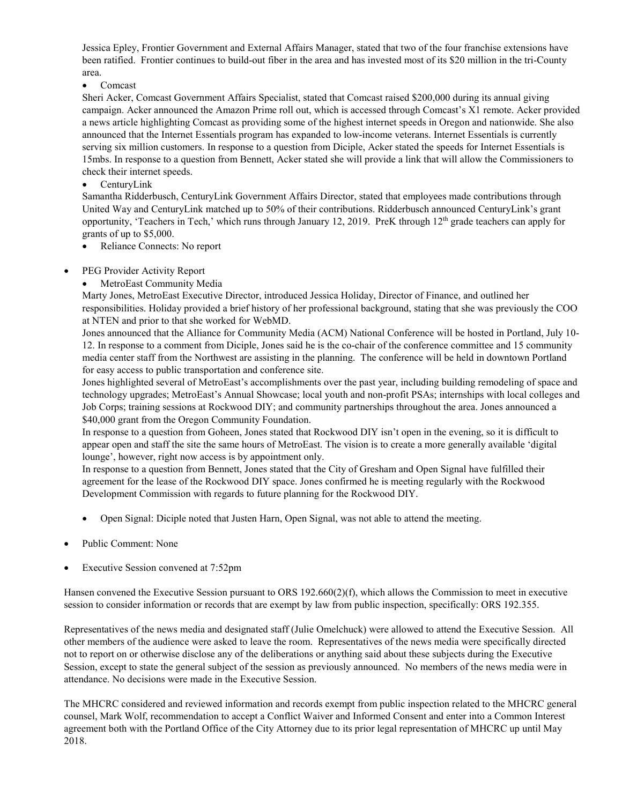Jessica Epley, Frontier Government and External Affairs Manager, stated that two of the four franchise extensions have been ratified. Frontier continues to build-out fiber in the area and has invested most of its \$20 million in the tri-County area.

## • Comcast

Sheri Acker, Comcast Government Affairs Specialist, stated that Comcast raised \$200,000 during its annual giving campaign. Acker announced the Amazon Prime roll out, which is accessed through Comcast's X1 remote. Acker provided a news article highlighting Comcast as providing some of the highest internet speeds in Oregon and nationwide. She also announced that the Internet Essentials program has expanded to low-income veterans. Internet Essentials is currently serving six million customers. In response to a question from Diciple, Acker stated the speeds for Internet Essentials is 15mbs. In response to a question from Bennett, Acker stated she will provide a link that will allow the Commissioners to check their internet speeds.

• CenturyLink

Samantha Ridderbusch, CenturyLink Government Affairs Director, stated that employees made contributions through United Way and CenturyLink matched up to 50% of their contributions. Ridderbusch announced CenturyLink's grant opportunity, 'Teachers in Tech,' which runs through January 12, 2019. PreK through  $12<sup>th</sup>$  grade teachers can apply for grants of up to \$5,000.

- Reliance Connects: No report
- PEG Provider Activity Report
	- MetroEast Community Media

Marty Jones, MetroEast Executive Director, introduced Jessica Holiday, Director of Finance, and outlined her responsibilities. Holiday provided a brief history of her professional background, stating that she was previously the COO at NTEN and prior to that she worked for WebMD.

Jones announced that the Alliance for Community Media (ACM) National Conference will be hosted in Portland, July 10- 12. In response to a comment from Diciple, Jones said he is the co-chair of the conference committee and 15 community media center staff from the Northwest are assisting in the planning. The conference will be held in downtown Portland for easy access to public transportation and conference site.

Jones highlighted several of MetroEast's accomplishments over the past year, including building remodeling of space and technology upgrades; MetroEast's Annual Showcase; local youth and non-profit PSAs; internships with local colleges and Job Corps; training sessions at Rockwood DIY; and community partnerships throughout the area. Jones announced a \$40,000 grant from the Oregon Community Foundation.

In response to a question from Goheen, Jones stated that Rockwood DIY isn't open in the evening, so it is difficult to appear open and staff the site the same hours of MetroEast. The vision is to create a more generally available 'digital lounge', however, right now access is by appointment only.

In response to a question from Bennett, Jones stated that the City of Gresham and Open Signal have fulfilled their agreement for the lease of the Rockwood DIY space. Jones confirmed he is meeting regularly with the Rockwood Development Commission with regards to future planning for the Rockwood DIY.

- Open Signal: Diciple noted that Justen Harn, Open Signal, was not able to attend the meeting.
- Public Comment: None
- Executive Session convened at 7:52pm

Hansen convened the Executive Session pursuant to ORS 192.660(2)(f), which allows the Commission to meet in executive session to consider information or records that are exempt by law from public inspection, specifically: ORS 192.355.

Representatives of the news media and designated staff (Julie Omelchuck) were allowed to attend the Executive Session. All other members of the audience were asked to leave the room. Representatives of the news media were specifically directed not to report on or otherwise disclose any of the deliberations or anything said about these subjects during the Executive Session, except to state the general subject of the session as previously announced. No members of the news media were in attendance. No decisions were made in the Executive Session.

The MHCRC considered and reviewed information and records exempt from public inspection related to the MHCRC general counsel, Mark Wolf, recommendation to accept a Conflict Waiver and Informed Consent and enter into a Common Interest agreement both with the Portland Office of the City Attorney due to its prior legal representation of MHCRC up until May 2018.